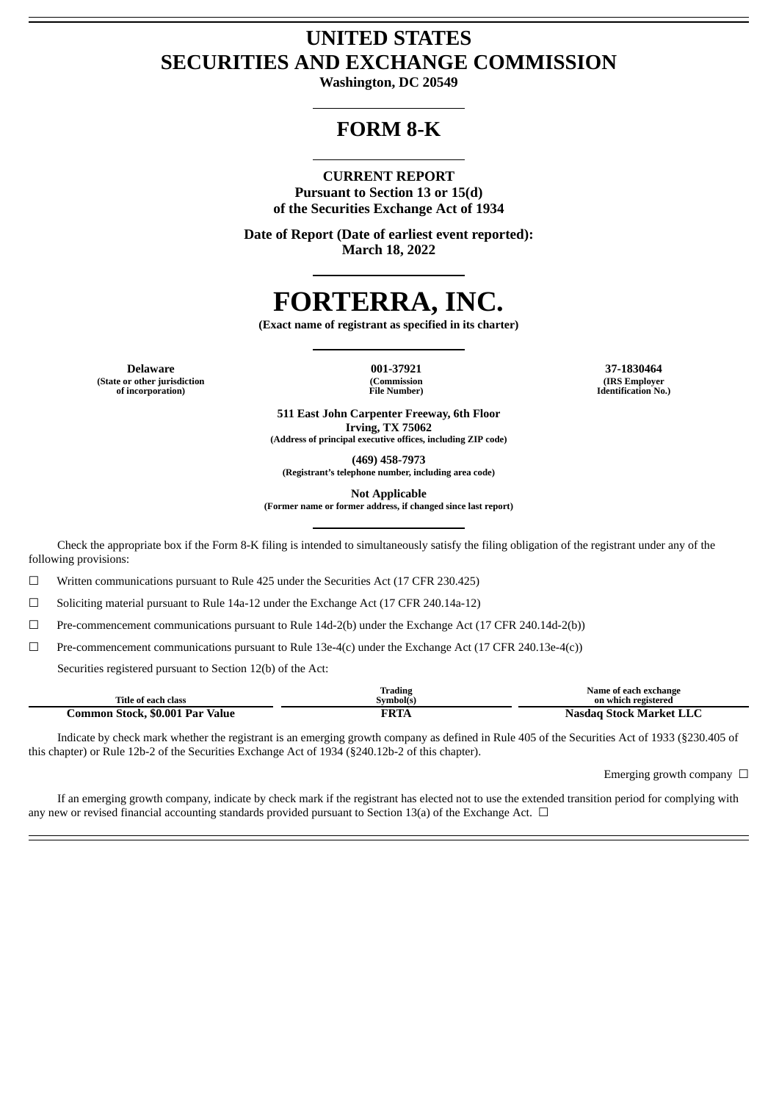# **UNITED STATES SECURITIES AND EXCHANGE COMMISSION**

**Washington, DC 20549**

# **FORM 8-K**

# **CURRENT REPORT**

**Pursuant to Section 13 or 15(d) of the Securities Exchange Act of 1934**

**Date of Report (Date of earliest event reported): March 18, 2022**

# **FORTERRA, INC.**

**(Exact name of registrant as specified in its charter)**

**Delaware 001-37921 37-1830464 (State or other jurisdiction of incorporation)**

**(Commission File Number)**

**(IRS Employer Identification No.)**

**511 East John Carpenter Freeway, 6th Floor Irving, TX 75062 (Address of principal executive offices, including ZIP code)**

**(469) 458-7973 (Registrant's telephone number, including area code)**

**Not Applicable**

**(Former name or former address, if changed since last report)**

Check the appropriate box if the Form 8-K filing is intended to simultaneously satisfy the filing obligation of the registrant under any of the following provisions:

 $\Box$  Written communications pursuant to Rule 425 under the Securities Act (17 CFR 230.425)

☐ Soliciting material pursuant to Rule 14a-12 under the Exchange Act (17 CFR 240.14a-12)

☐ Pre-commencement communications pursuant to Rule 14d-2(b) under the Exchange Act (17 CFR 240.14d-2(b))

 $\Box$  Pre-commencement communications pursuant to Rule 13e-4(c) under the Exchange Act (17 CFR 240.13e-4(c))

Securities registered pursuant to Section 12(b) of the Act:

|                               | m.<br>Trading | Name of each exchange             |
|-------------------------------|---------------|-----------------------------------|
| Title of each class           | Symbol(s      | on which registered               |
| . Par Val<br>\$0.001<br>Value | гот<br>N.IA   | <b>Stock Market LLC</b><br>Nasdad |

Indicate by check mark whether the registrant is an emerging growth company as defined in Rule 405 of the Securities Act of 1933 (§230.405 of this chapter) or Rule 12b-2 of the Securities Exchange Act of 1934 (§240.12b-2 of this chapter).

Emerging growth company  $\ \Box$ 

If an emerging growth company, indicate by check mark if the registrant has elected not to use the extended transition period for complying with any new or revised financial accounting standards provided pursuant to Section 13(a) of the Exchange Act.  $\Box$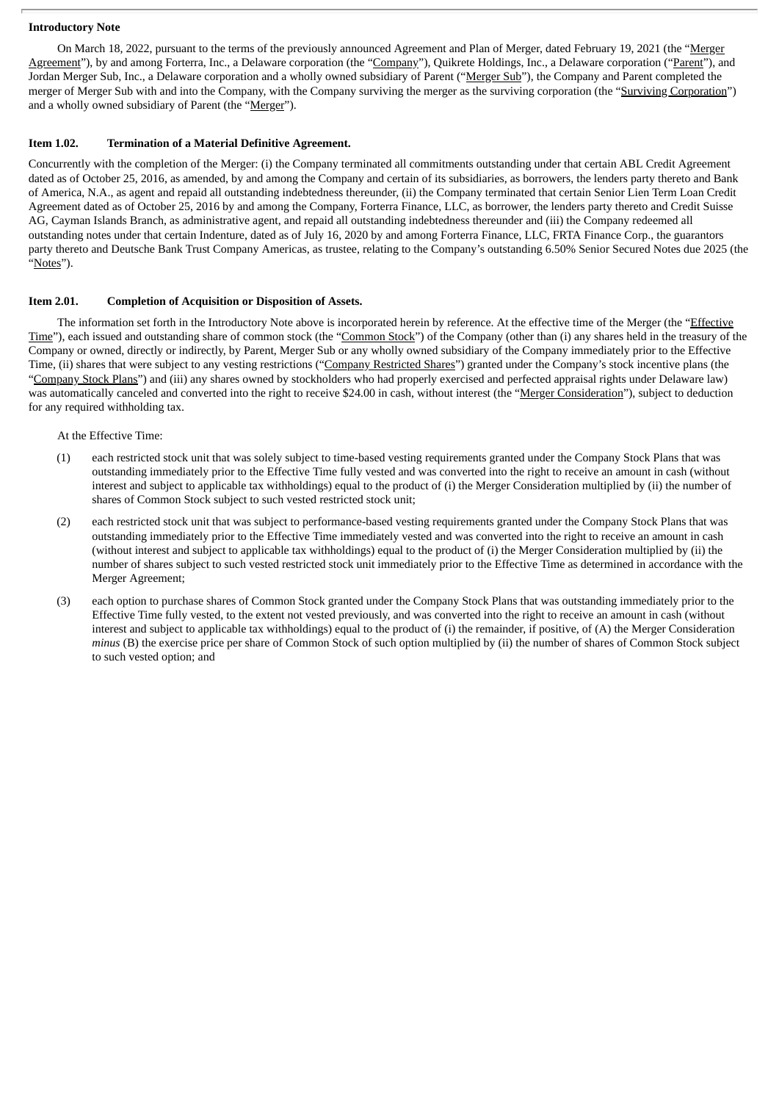## **Introductory Note**

On March 18, 2022, pursuant to the terms of the previously announced Agreement and Plan of Merger, dated February 19, 2021 (the "Merger Agreement"), by and among Forterra, Inc., a Delaware corporation (the "Company"), Quikrete Holdings, Inc., a Delaware corporation ("Parent"), and Jordan Merger Sub, Inc., a Delaware corporation and a wholly owned subsidiary of Parent ("Merger Sub"), the Company and Parent completed the merger of Merger Sub with and into the Company, with the Company surviving the merger as the surviving corporation (the "Surviving Corporation") and a wholly owned subsidiary of Parent (the "Merger").

# **Item 1.02. Termination of a Material Definitive Agreement.**

Concurrently with the completion of the Merger: (i) the Company terminated all commitments outstanding under that certain ABL Credit Agreement dated as of October 25, 2016, as amended, by and among the Company and certain of its subsidiaries, as borrowers, the lenders party thereto and Bank of America, N.A., as agent and repaid all outstanding indebtedness thereunder, (ii) the Company terminated that certain Senior Lien Term Loan Credit Agreement dated as of October 25, 2016 by and among the Company, Forterra Finance, LLC, as borrower, the lenders party thereto and Credit Suisse AG, Cayman Islands Branch, as administrative agent, and repaid all outstanding indebtedness thereunder and (iii) the Company redeemed all outstanding notes under that certain Indenture, dated as of July 16, 2020 by and among Forterra Finance, LLC, FRTA Finance Corp., the guarantors party thereto and Deutsche Bank Trust Company Americas, as trustee, relating to the Company's outstanding 6.50% Senior Secured Notes due 2025 (the "Notes").

# **Item 2.01. Completion of Acquisition or Disposition of Assets.**

The information set forth in the Introductory Note above is incorporated herein by reference. At the effective time of the Merger (the "Effective Time"), each issued and outstanding share of common stock (the "Common Stock") of the Company (other than (i) any shares held in the treasury of the Company or owned, directly or indirectly, by Parent, Merger Sub or any wholly owned subsidiary of the Company immediately prior to the Effective Time, (ii) shares that were subject to any vesting restrictions ("Company Restricted Shares") granted under the Company's stock incentive plans (the "Company Stock Plans") and (iii) any shares owned by stockholders who had properly exercised and perfected appraisal rights under Delaware law) was automatically canceled and converted into the right to receive \$24.00 in cash, without interest (the "Merger Consideration"), subject to deduction for any required withholding tax.

At the Effective Time:

- (1) each restricted stock unit that was solely subject to time-based vesting requirements granted under the Company Stock Plans that was outstanding immediately prior to the Effective Time fully vested and was converted into the right to receive an amount in cash (without interest and subject to applicable tax withholdings) equal to the product of (i) the Merger Consideration multiplied by (ii) the number of shares of Common Stock subject to such vested restricted stock unit;
- (2) each restricted stock unit that was subject to performance-based vesting requirements granted under the Company Stock Plans that was outstanding immediately prior to the Effective Time immediately vested and was converted into the right to receive an amount in cash (without interest and subject to applicable tax withholdings) equal to the product of (i) the Merger Consideration multiplied by (ii) the number of shares subject to such vested restricted stock unit immediately prior to the Effective Time as determined in accordance with the Merger Agreement;
- (3) each option to purchase shares of Common Stock granted under the Company Stock Plans that was outstanding immediately prior to the Effective Time fully vested, to the extent not vested previously, and was converted into the right to receive an amount in cash (without interest and subject to applicable tax withholdings) equal to the product of (i) the remainder, if positive, of (A) the Merger Consideration *minus* (B) the exercise price per share of Common Stock of such option multiplied by (ii) the number of shares of Common Stock subject to such vested option; and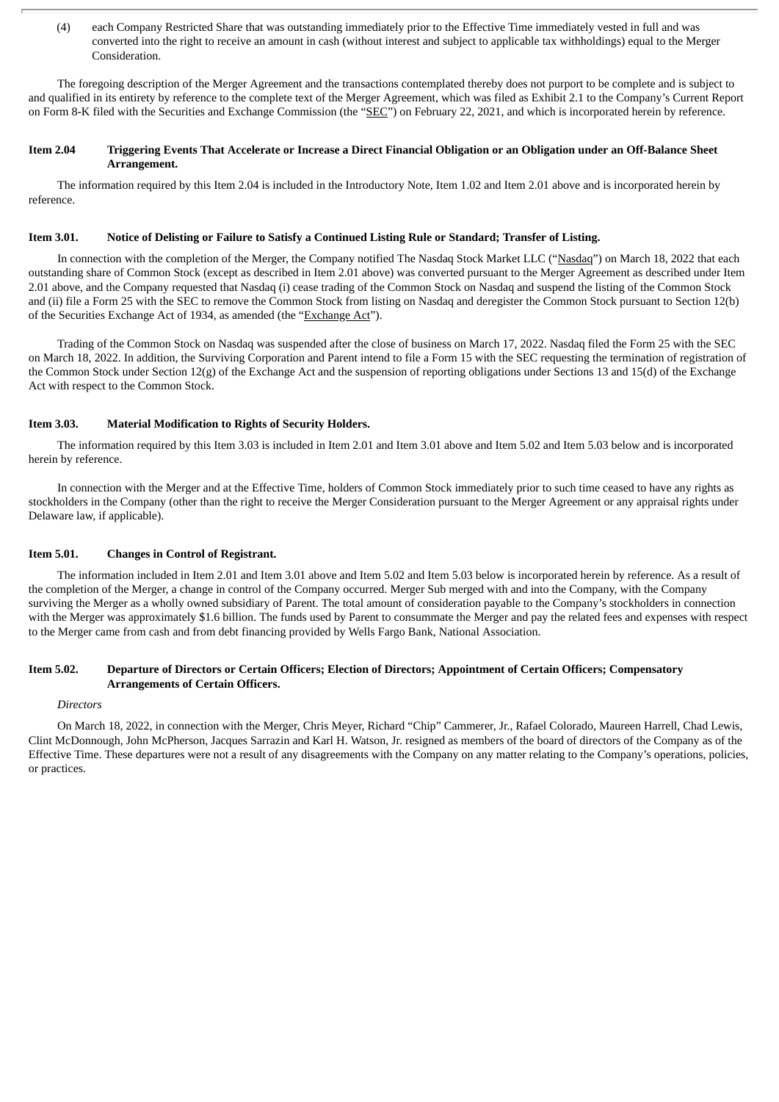(4) each Company Restricted Share that was outstanding immediately prior to the Effective Time immediately vested in full and was converted into the right to receive an amount in cash (without interest and subject to applicable tax withholdings) equal to the Merger Consideration.

The foregoing description of the Merger Agreement and the transactions contemplated thereby does not purport to be complete and is subject to and qualified in its entirety by reference to the complete text of the Merger Agreement, which was filed as Exhibit 2.1 to the Company's Current Report on Form 8-K filed with the Securities and Exchange Commission (the "SEC") on February 22, 2021, and which is incorporated herein by reference.

# Item 2.04 Triggering Events That Accelerate or Increase a Direct Financial Obligation or an Obligation under an Off-Balance Sheet **Arrangement.**

The information required by this Item 2.04 is included in the Introductory Note, Item 1.02 and Item 2.01 above and is incorporated herein by reference.

# Item 3.01. Notice of Delisting or Failure to Satisfy a Continued Listing Rule or Standard; Transfer of Listing.

In connection with the completion of the Merger, the Company notified The Nasdaq Stock Market LLC ("Nasdaq") on March 18, 2022 that each outstanding share of Common Stock (except as described in Item 2.01 above) was converted pursuant to the Merger Agreement as described under Item 2.01 above, and the Company requested that Nasdaq (i) cease trading of the Common Stock on Nasdaq and suspend the listing of the Common Stock and (ii) file a Form 25 with the SEC to remove the Common Stock from listing on Nasdaq and deregister the Common Stock pursuant to Section 12(b) of the Securities Exchange Act of 1934, as amended (the "Exchange Act").

Trading of the Common Stock on Nasdaq was suspended after the close of business on March 17, 2022. Nasdaq filed the Form 25 with the SEC on March 18, 2022. In addition, the Surviving Corporation and Parent intend to file a Form 15 with the SEC requesting the termination of registration of the Common Stock under Section 12(g) of the Exchange Act and the suspension of reporting obligations under Sections 13 and 15(d) of the Exchange Act with respect to the Common Stock.

# **Item 3.03. Material Modification to Rights of Security Holders.**

The information required by this Item 3.03 is included in Item 2.01 and Item 3.01 above and Item 5.02 and Item 5.03 below and is incorporated herein by reference.

In connection with the Merger and at the Effective Time, holders of Common Stock immediately prior to such time ceased to have any rights as stockholders in the Company (other than the right to receive the Merger Consideration pursuant to the Merger Agreement or any appraisal rights under Delaware law, if applicable).

# **Item 5.01. Changes in Control of Registrant.**

The information included in Item 2.01 and Item 3.01 above and Item 5.02 and Item 5.03 below is incorporated herein by reference. As a result of the completion of the Merger, a change in control of the Company occurred. Merger Sub merged with and into the Company, with the Company surviving the Merger as a wholly owned subsidiary of Parent. The total amount of consideration payable to the Company's stockholders in connection with the Merger was approximately \$1.6 billion. The funds used by Parent to consummate the Merger and pay the related fees and expenses with respect to the Merger came from cash and from debt financing provided by Wells Fargo Bank, National Association.

# Item 5.02. Departure of Directors or Certain Officers: Election of Directors: Appointment of Certain Officers: Compensatory **Arrangements of Certain Officers.**

# *Directors*

On March 18, 2022, in connection with the Merger, Chris Meyer, Richard "Chip" Cammerer, Jr., Rafael Colorado, Maureen Harrell, Chad Lewis, Clint McDonnough, John McPherson, Jacques Sarrazin and Karl H. Watson, Jr. resigned as members of the board of directors of the Company as of the Effective Time. These departures were not a result of any disagreements with the Company on any matter relating to the Company's operations, policies, or practices.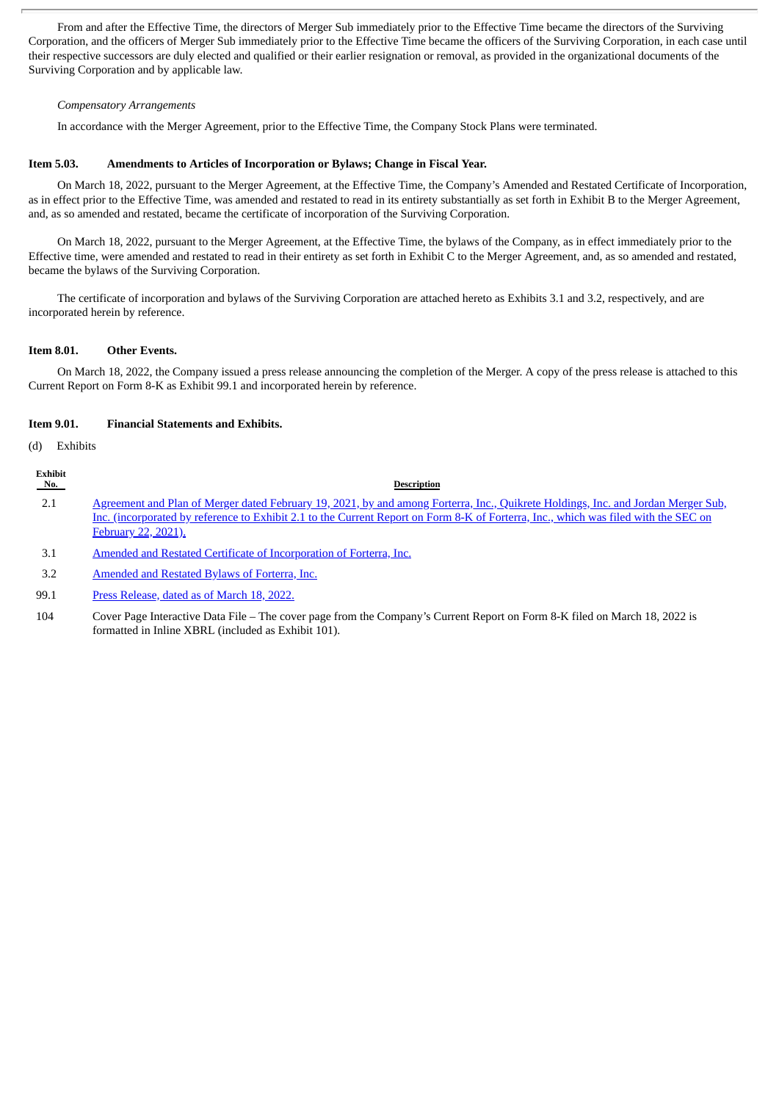From and after the Effective Time, the directors of Merger Sub immediately prior to the Effective Time became the directors of the Surviving Corporation, and the officers of Merger Sub immediately prior to the Effective Time became the officers of the Surviving Corporation, in each case until their respective successors are duly elected and qualified or their earlier resignation or removal, as provided in the organizational documents of the Surviving Corporation and by applicable law.

# *Compensatory Arrangements*

In accordance with the Merger Agreement, prior to the Effective Time, the Company Stock Plans were terminated.

# **Item 5.03. Amendments to Articles of Incorporation or Bylaws; Change in Fiscal Year.**

On March 18, 2022, pursuant to the Merger Agreement, at the Effective Time, the Company's Amended and Restated Certificate of Incorporation, as in effect prior to the Effective Time, was amended and restated to read in its entirety substantially as set forth in Exhibit B to the Merger Agreement, and, as so amended and restated, became the certificate of incorporation of the Surviving Corporation.

On March 18, 2022, pursuant to the Merger Agreement, at the Effective Time, the bylaws of the Company, as in effect immediately prior to the Effective time, were amended and restated to read in their entirety as set forth in Exhibit C to the Merger Agreement, and, as so amended and restated, became the bylaws of the Surviving Corporation.

The certificate of incorporation and bylaws of the Surviving Corporation are attached hereto as Exhibits 3.1 and 3.2, respectively, and are incorporated herein by reference.

# **Item 8.01. Other Events.**

On March 18, 2022, the Company issued a press release announcing the completion of the Merger. A copy of the press release is attached to this Current Report on Form 8-K as Exhibit 99.1 and incorporated herein by reference.

# **Item 9.01. Financial Statements and Exhibits.**

(d) Exhibits

| Exhibit<br>No. | <b>Description</b>                                                                                                                                                                                                                                                                              |
|----------------|-------------------------------------------------------------------------------------------------------------------------------------------------------------------------------------------------------------------------------------------------------------------------------------------------|
| 2.1            | Agreement and Plan of Merger dated February 19, 2021, by and among Forterra, Inc., Quikrete Holdings, Inc. and Jordan Merger Sub,<br>Inc. (incorporated by reference to Exhibit 2.1 to the Current Report on Form 8-K of Forterra, Inc., which was filed with the SEC on<br>February 22, 2021). |
| 3.1            | Amended and Restated Certificate of Incorporation of Forterra, Inc.                                                                                                                                                                                                                             |
| 3.2            | Amended and Restated Bylaws of Forterra, Inc.                                                                                                                                                                                                                                                   |
| 99.1           | Press Release, dated as of March 18, 2022.                                                                                                                                                                                                                                                      |

104 Cover Page Interactive Data File – The cover page from the Company's Current Report on Form 8-K filed on March 18, 2022 is formatted in Inline XBRL (included as Exhibit 101).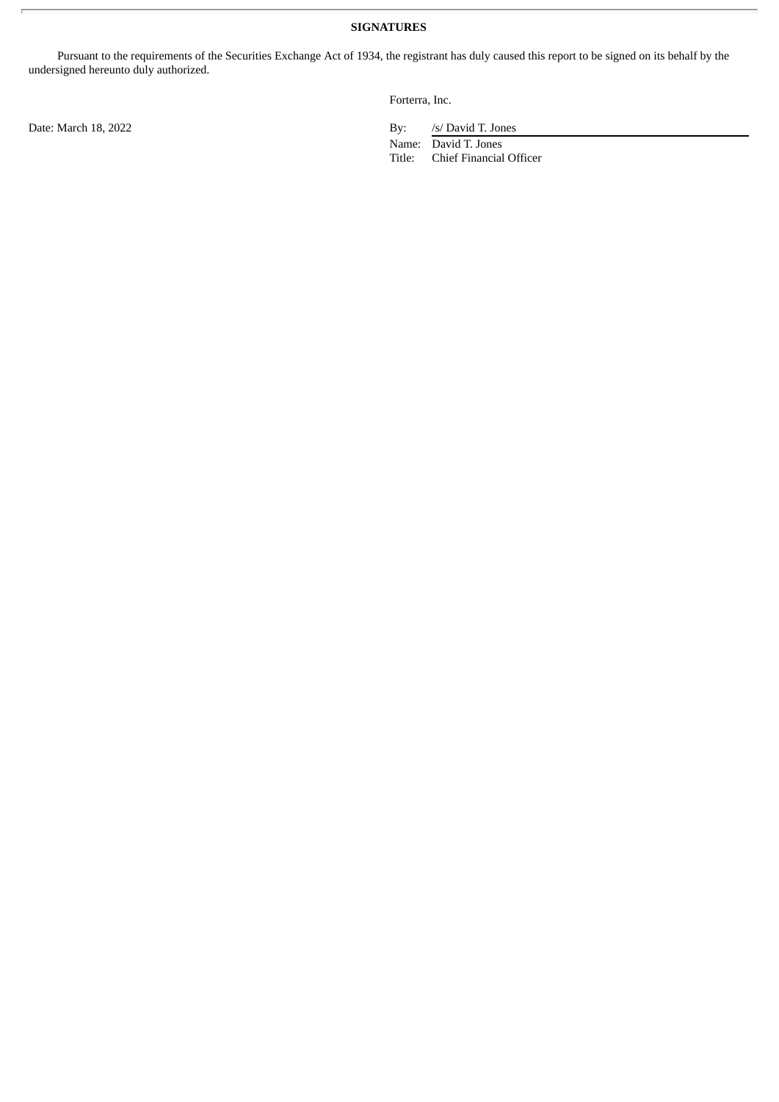Pursuant to the requirements of the Securities Exchange Act of 1934, the registrant has duly caused this report to be signed on its behalf by the undersigned hereunto duly authorized.

Forterra, Inc.

Date: March 18, 2022 By: /s/ David T. Jones

Name: David T. Jones Title: Chief Financial Officer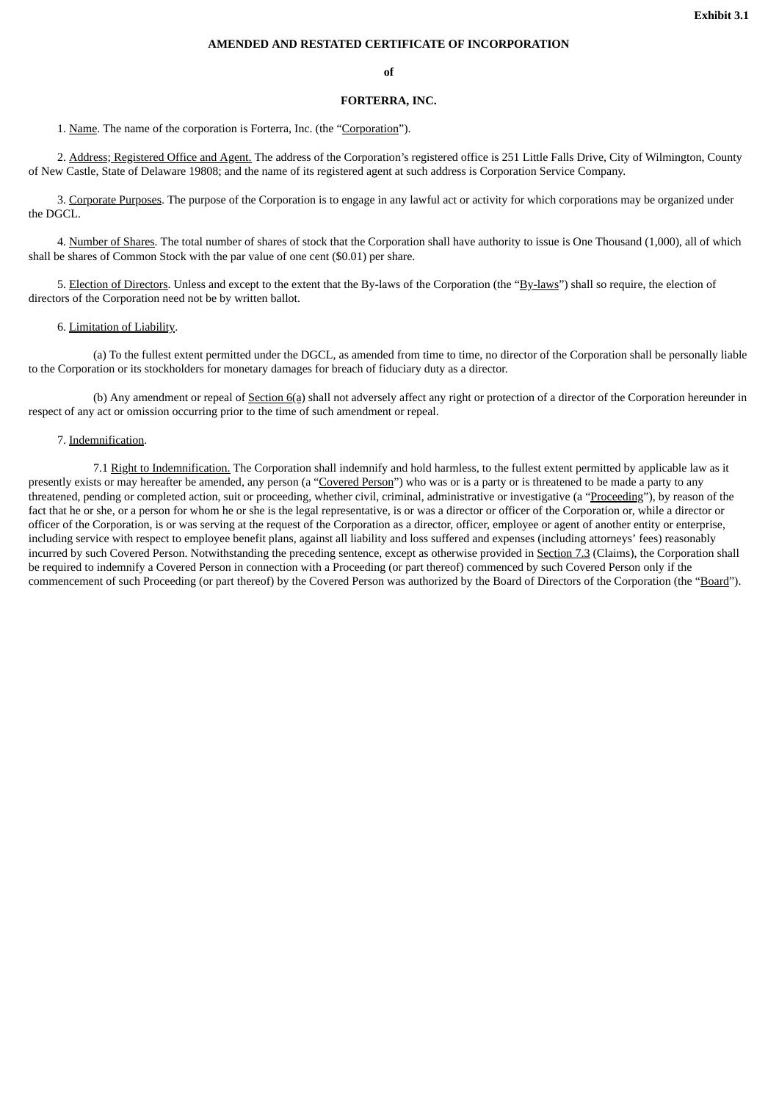# **AMENDED AND RESTATED CERTIFICATE OF INCORPORATION**

#### **of**

#### **FORTERRA, INC.**

<span id="page-5-0"></span>1. Name. The name of the corporation is Forterra, Inc. (the "Corporation").

2. Address; Registered Office and Agent. The address of the Corporation's registered office is 251 Little Falls Drive, City of Wilmington, County of New Castle, State of Delaware 19808; and the name of its registered agent at such address is Corporation Service Company.

3. Corporate Purposes. The purpose of the Corporation is to engage in any lawful act or activity for which corporations may be organized under the DGCL.

4. Number of Shares. The total number of shares of stock that the Corporation shall have authority to issue is One Thousand (1,000), all of which shall be shares of Common Stock with the par value of one cent (\$0.01) per share.

5. Election of Directors. Unless and except to the extent that the By-laws of the Corporation (the "By-laws") shall so require, the election of directors of the Corporation need not be by written ballot.

#### 6. Limitation of Liability.

(a) To the fullest extent permitted under the DGCL, as amended from time to time, no director of the Corporation shall be personally liable to the Corporation or its stockholders for monetary damages for breach of fiduciary duty as a director.

(b) Any amendment or repeal of Section 6(a) shall not adversely affect any right or protection of a director of the Corporation hereunder in respect of any act or omission occurring prior to the time of such amendment or repeal.

# 7. Indemnification.

7.1 Right to Indemnification. The Corporation shall indemnify and hold harmless, to the fullest extent permitted by applicable law as it presently exists or may hereafter be amended, any person (a "Covered Person") who was or is a party or is threatened to be made a party to any threatened, pending or completed action, suit or proceeding, whether civil, criminal, administrative or investigative (a "Proceeding"), by reason of the fact that he or she, or a person for whom he or she is the legal representative, is or was a director or officer of the Corporation or, while a director or officer of the Corporation, is or was serving at the request of the Corporation as a director, officer, employee or agent of another entity or enterprise, including service with respect to employee benefit plans, against all liability and loss suffered and expenses (including attorneys' fees) reasonably incurred by such Covered Person. Notwithstanding the preceding sentence, except as otherwise provided in Section 7.3 (Claims), the Corporation shall be required to indemnify a Covered Person in connection with a Proceeding (or part thereof) commenced by such Covered Person only if the commencement of such Proceeding (or part thereof) by the Covered Person was authorized by the Board of Directors of the Corporation (the "Board").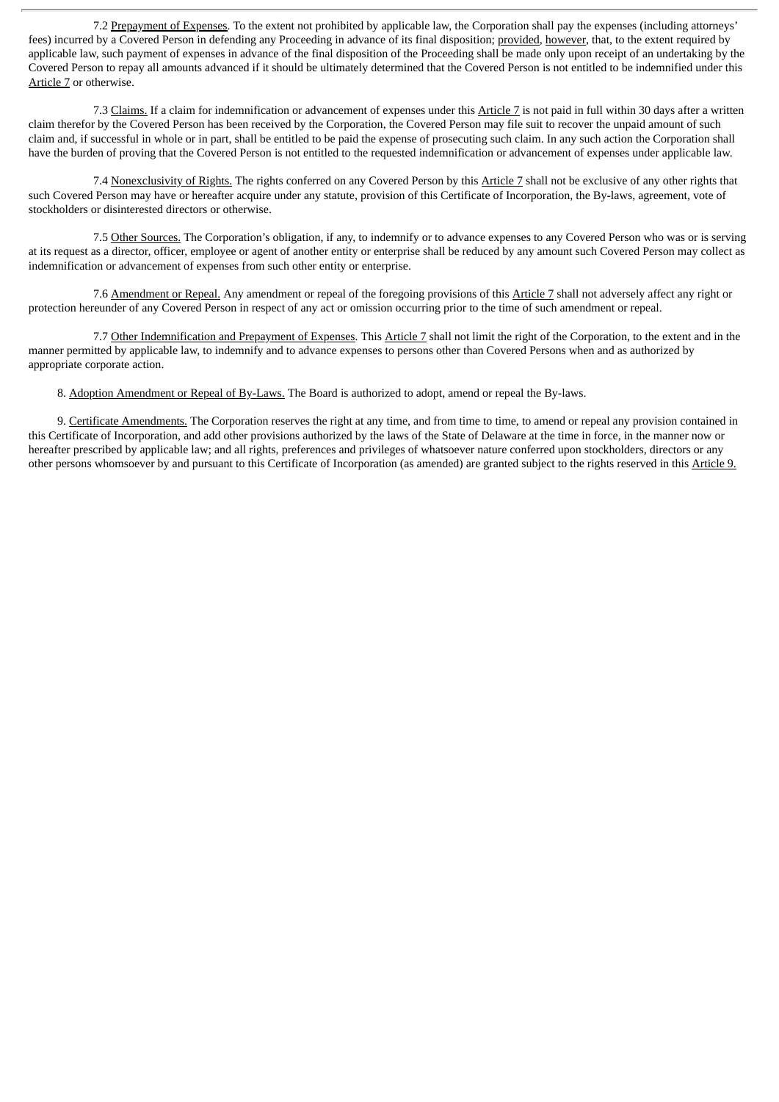7.2 Prepayment of Expenses. To the extent not prohibited by applicable law, the Corporation shall pay the expenses (including attorneys' fees) incurred by a Covered Person in defending any Proceeding in advance of its final disposition; provided, however, that, to the extent required by applicable law, such payment of expenses in advance of the final disposition of the Proceeding shall be made only upon receipt of an undertaking by the Covered Person to repay all amounts advanced if it should be ultimately determined that the Covered Person is not entitled to be indemnified under this Article 7 or otherwise.

7.3 Claims. If a claim for indemnification or advancement of expenses under this Article 7 is not paid in full within 30 days after a written claim therefor by the Covered Person has been received by the Corporation, the Covered Person may file suit to recover the unpaid amount of such claim and, if successful in whole or in part, shall be entitled to be paid the expense of prosecuting such claim. In any such action the Corporation shall have the burden of proving that the Covered Person is not entitled to the requested indemnification or advancement of expenses under applicable law.

7.4 Nonexclusivity of Rights. The rights conferred on any Covered Person by this Article 7 shall not be exclusive of any other rights that such Covered Person may have or hereafter acquire under any statute, provision of this Certificate of Incorporation, the By-laws, agreement, vote of stockholders or disinterested directors or otherwise.

7.5 Other Sources. The Corporation's obligation, if any, to indemnify or to advance expenses to any Covered Person who was or is serving at its request as a director, officer, employee or agent of another entity or enterprise shall be reduced by any amount such Covered Person may collect as indemnification or advancement of expenses from such other entity or enterprise.

7.6 Amendment or Repeal. Any amendment or repeal of the foregoing provisions of this Article 7 shall not adversely affect any right or protection hereunder of any Covered Person in respect of any act or omission occurring prior to the time of such amendment or repeal.

7.7 Other Indemnification and Prepayment of Expenses. This Article 7 shall not limit the right of the Corporation, to the extent and in the manner permitted by applicable law, to indemnify and to advance expenses to persons other than Covered Persons when and as authorized by appropriate corporate action.

8. Adoption Amendment or Repeal of By-Laws. The Board is authorized to adopt, amend or repeal the By-laws.

9. Certificate Amendments. The Corporation reserves the right at any time, and from time to time, to amend or repeal any provision contained in this Certificate of Incorporation, and add other provisions authorized by the laws of the State of Delaware at the time in force, in the manner now or hereafter prescribed by applicable law; and all rights, preferences and privileges of whatsoever nature conferred upon stockholders, directors or any other persons whomsoever by and pursuant to this Certificate of Incorporation (as amended) are granted subject to the rights reserved in this Article 9.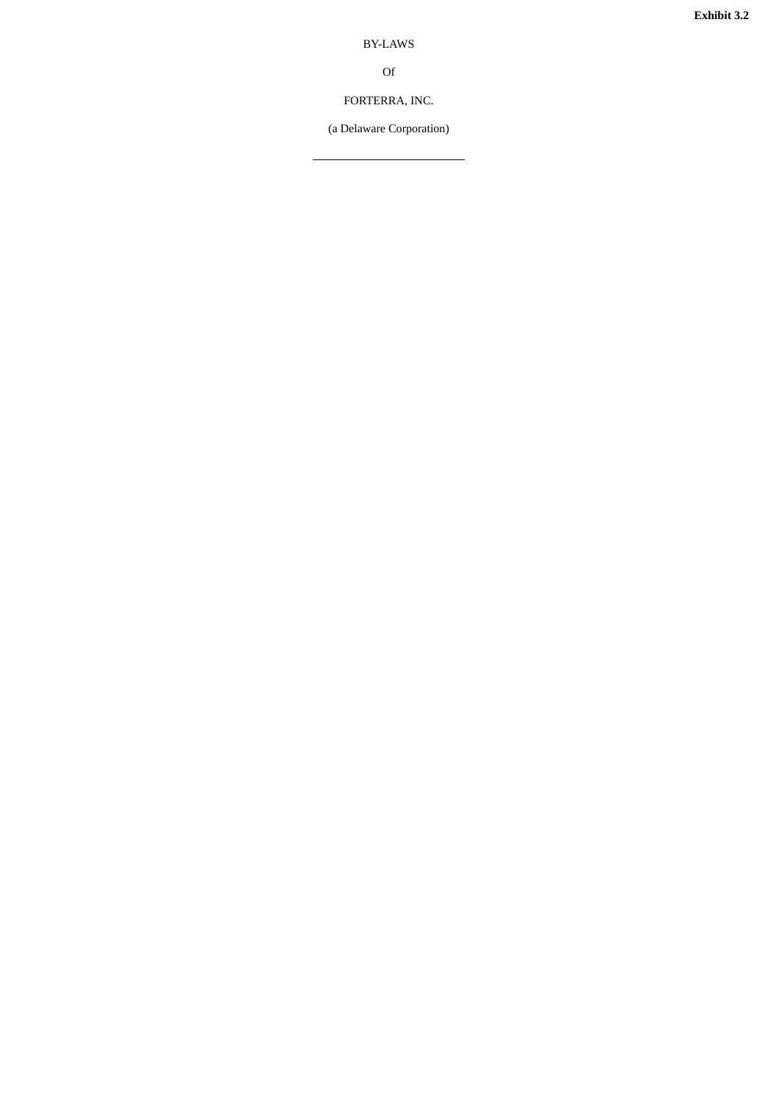**E x h i b i t 3 . 2**

B Y-L AW S

O f

FORTERRA, INC.

<span id="page-7-0"></span>(a Delaware Corporati o n )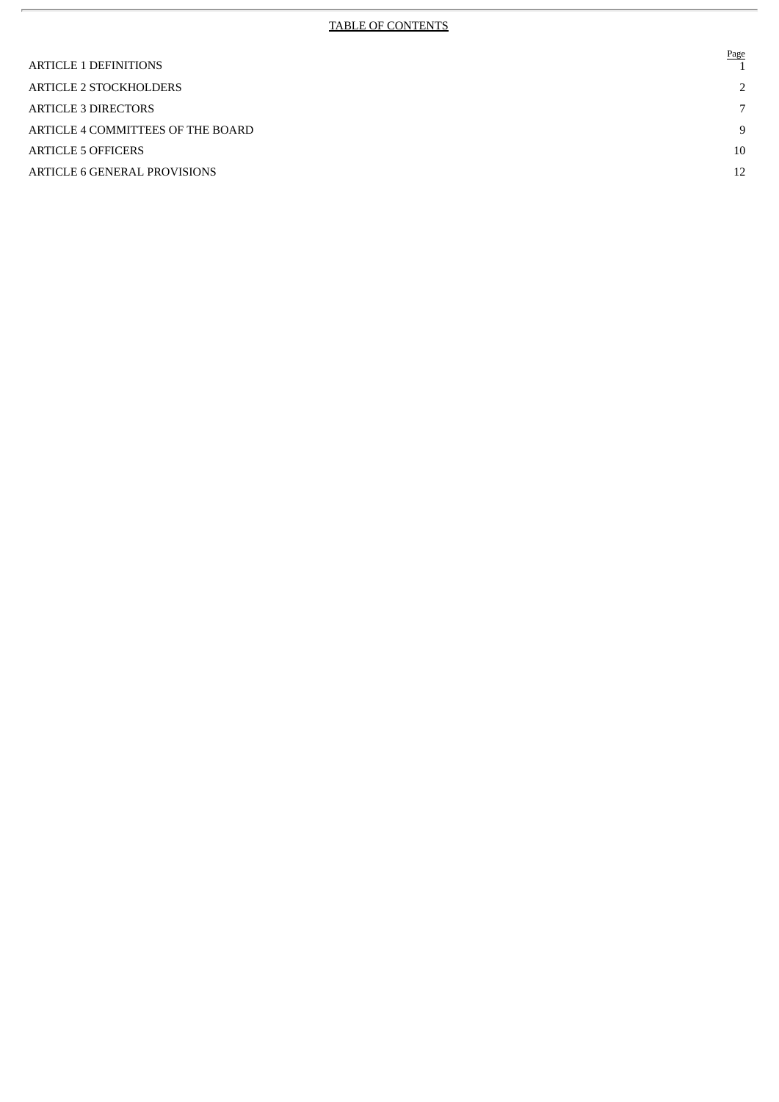# TABLE OF CONTENTS

 $\bar{r}$ 

| <b>ARTICLE 1 DEFINITIONS</b>      | Page          |
|-----------------------------------|---------------|
| <b>ARTICLE 2 STOCKHOLDERS</b>     | $\mathcal{L}$ |
| <b>ARTICLE 3 DIRECTORS</b>        | 7             |
| ARTICLE 4 COMMITTEES OF THE BOARD | 9             |
| ARTICLE 5 OFFICERS                | 10            |
| ARTICLE 6 GENERAL PROVISIONS      | 12            |
|                                   |               |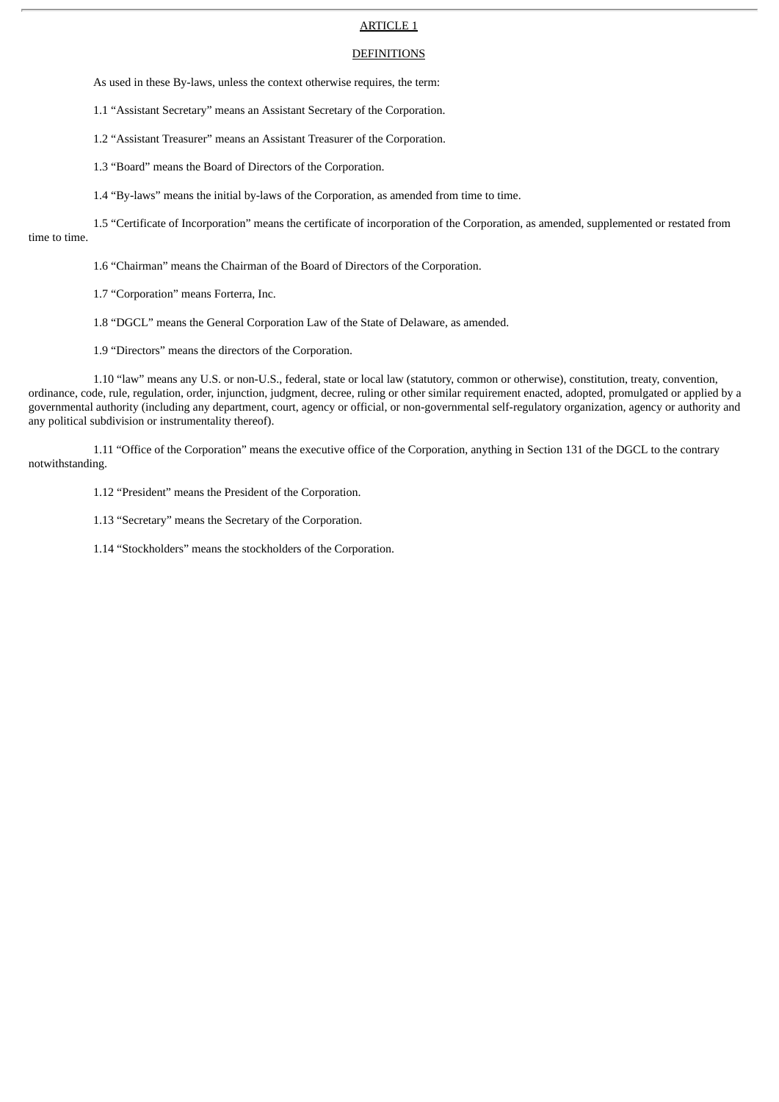# ARTICLE 1

#### **DEFINITIONS**

As used in these By-laws, unless the context otherwise requires, the term:

1.1 "Assistant Secretary" means an Assistant Secretary of the Corporation.

1.2 "Assistant Treasurer" means an Assistant Treasurer of the Corporation.

1.3 "Board" means the Board of Directors of the Corporation.

1.4 "By-laws" means the initial by-laws of the Corporation, as amended from time to time.

1.5 "Certificate of Incorporation" means the certificate of incorporation of the Corporation, as amended, supplemented or restated from time to time.

1.6 "Chairman" means the Chairman of the Board of Directors of the Corporation.

1.7 "Corporation" means Forterra, Inc.

1.8 "DGCL" means the General Corporation Law of the State of Delaware, as amended.

1.9 "Directors" means the directors of the Corporation.

1.10 "law" means any U.S. or non-U.S., federal, state or local law (statutory, common or otherwise), constitution, treaty, convention, ordinance, code, rule, regulation, order, injunction, judgment, decree, ruling or other similar requirement enacted, adopted, promulgated or applied by a governmental authority (including any department, court, agency or official, or non-governmental self-regulatory organization, agency or authority and any political subdivision or instrumentality thereof).

1.11 "Office of the Corporation" means the executive office of the Corporation, anything in Section 131 of the DGCL to the contrary notwithstanding.

1.12 "President" means the President of the Corporation.

1.13 "Secretary" means the Secretary of the Corporation.

1.14 "Stockholders" means the stockholders of the Corporation.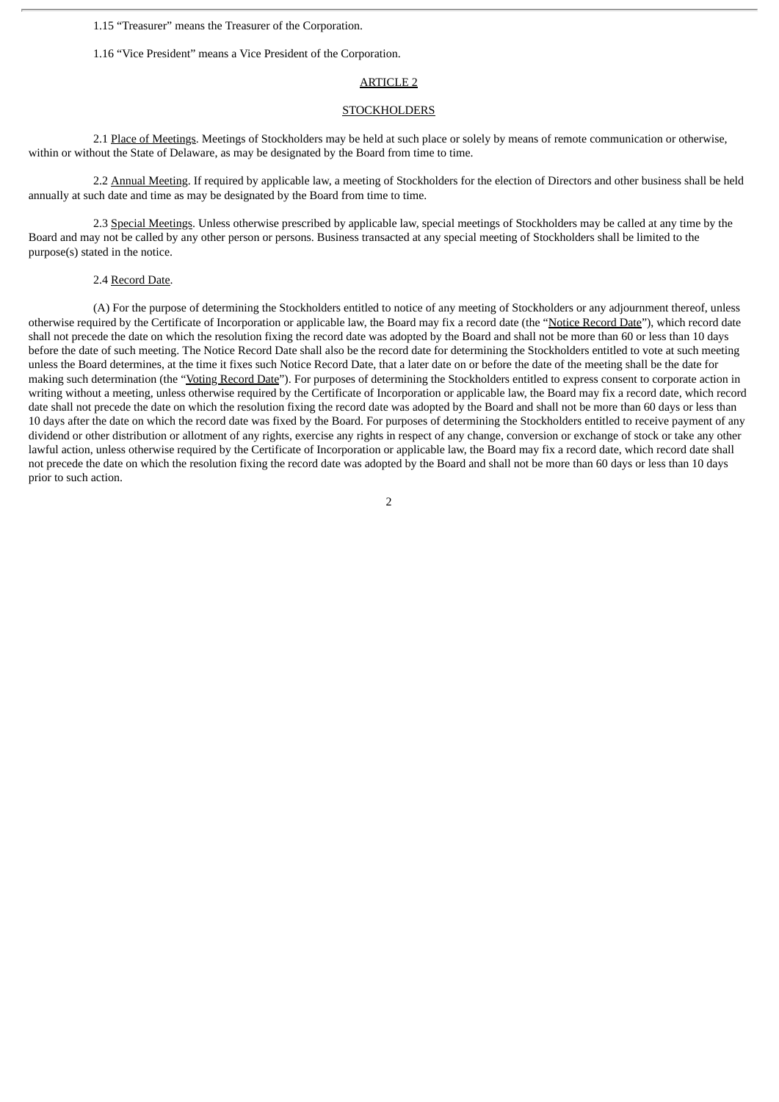1.15 "Treasurer" means the Treasurer of the Corporation.

1.16 "Vice President" means a Vice President of the Corporation.

#### ARTICLE 2

#### **STOCKHOLDERS**

2.1 Place of Meetings. Meetings of Stockholders may be held at such place or solely by means of remote communication or otherwise, within or without the State of Delaware, as may be designated by the Board from time to time.

2.2 Annual Meeting. If required by applicable law, a meeting of Stockholders for the election of Directors and other business shall be held annually at such date and time as may be designated by the Board from time to time.

2.3 Special Meetings. Unless otherwise prescribed by applicable law, special meetings of Stockholders may be called at any time by the Board and may not be called by any other person or persons. Business transacted at any special meeting of Stockholders shall be limited to the purpose(s) stated in the notice.

# 2.4 Record Date.

(A) For the purpose of determining the Stockholders entitled to notice of any meeting of Stockholders or any adjournment thereof, unless otherwise required by the Certificate of Incorporation or applicable law, the Board may fix a record date (the "Notice Record Date"), which record date shall not precede the date on which the resolution fixing the record date was adopted by the Board and shall not be more than 60 or less than 10 days before the date of such meeting. The Notice Record Date shall also be the record date for determining the Stockholders entitled to vote at such meeting unless the Board determines, at the time it fixes such Notice Record Date, that a later date on or before the date of the meeting shall be the date for making such determination (the "Voting Record Date"). For purposes of determining the Stockholders entitled to express consent to corporate action in writing without a meeting, unless otherwise required by the Certificate of Incorporation or applicable law, the Board may fix a record date, which record date shall not precede the date on which the resolution fixing the record date was adopted by the Board and shall not be more than 60 days or less than 10 days after the date on which the record date was fixed by the Board. For purposes of determining the Stockholders entitled to receive payment of any dividend or other distribution or allotment of any rights, exercise any rights in respect of any change, conversion or exchange of stock or take any other lawful action, unless otherwise required by the Certificate of Incorporation or applicable law, the Board may fix a record date, which record date shall not precede the date on which the resolution fixing the record date was adopted by the Board and shall not be more than 60 days or less than 10 days prior to such action.

 $\overline{2}$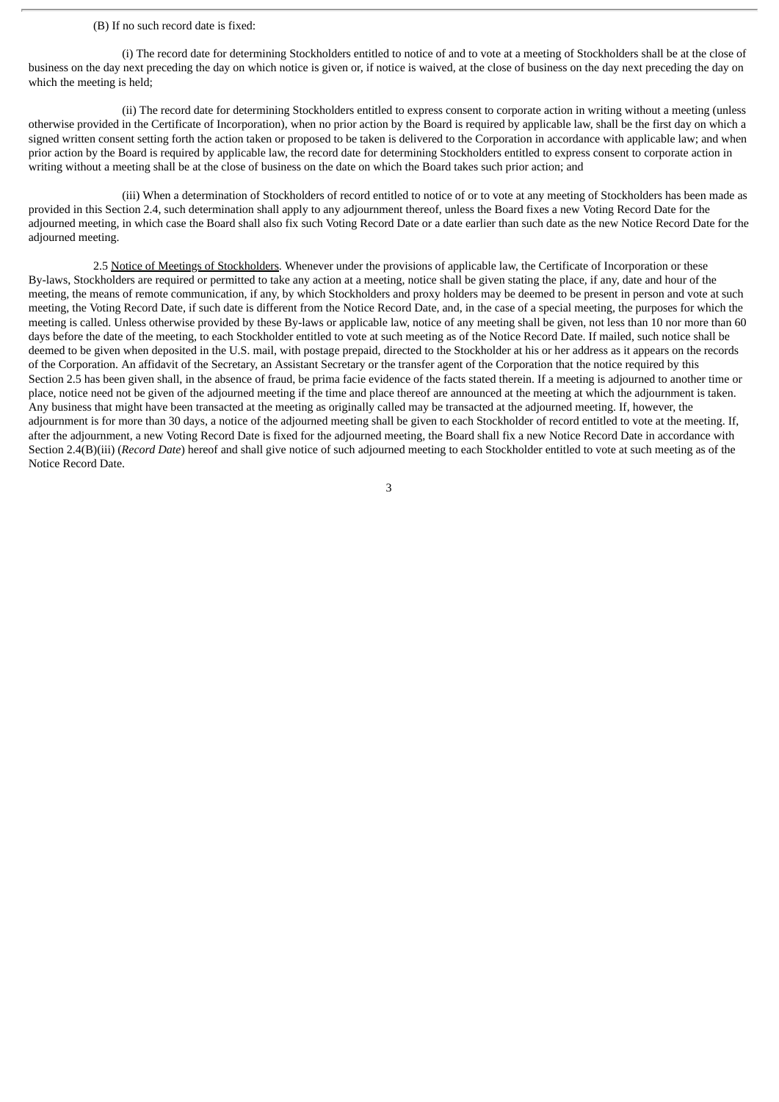# (B) If no such record date is fixed:

(i) The record date for determining Stockholders entitled to notice of and to vote at a meeting of Stockholders shall be at the close of business on the day next preceding the day on which notice is given or, if notice is waived, at the close of business on the day next preceding the day on which the meeting is held;

(ii) The record date for determining Stockholders entitled to express consent to corporate action in writing without a meeting (unless otherwise provided in the Certificate of Incorporation), when no prior action by the Board is required by applicable law, shall be the first day on which a signed written consent setting forth the action taken or proposed to be taken is delivered to the Corporation in accordance with applicable law; and when prior action by the Board is required by applicable law, the record date for determining Stockholders entitled to express consent to corporate action in writing without a meeting shall be at the close of business on the date on which the Board takes such prior action; and

(iii) When a determination of Stockholders of record entitled to notice of or to vote at any meeting of Stockholders has been made as provided in this Section 2.4, such determination shall apply to any adjournment thereof, unless the Board fixes a new Voting Record Date for the adjourned meeting, in which case the Board shall also fix such Voting Record Date or a date earlier than such date as the new Notice Record Date for the adjourned meeting.

2.5 Notice of Meetings of Stockholders. Whenever under the provisions of applicable law, the Certificate of Incorporation or these By-laws, Stockholders are required or permitted to take any action at a meeting, notice shall be given stating the place, if any, date and hour of the meeting, the means of remote communication, if any, by which Stockholders and proxy holders may be deemed to be present in person and vote at such meeting, the Voting Record Date, if such date is different from the Notice Record Date, and, in the case of a special meeting, the purposes for which the meeting is called. Unless otherwise provided by these By-laws or applicable law, notice of any meeting shall be given, not less than 10 nor more than 60 days before the date of the meeting, to each Stockholder entitled to vote at such meeting as of the Notice Record Date. If mailed, such notice shall be deemed to be given when deposited in the U.S. mail, with postage prepaid, directed to the Stockholder at his or her address as it appears on the records of the Corporation. An affidavit of the Secretary, an Assistant Secretary or the transfer agent of the Corporation that the notice required by this Section 2.5 has been given shall, in the absence of fraud, be prima facie evidence of the facts stated therein. If a meeting is adjourned to another time or place, notice need not be given of the adjourned meeting if the time and place thereof are announced at the meeting at which the adjournment is taken. Any business that might have been transacted at the meeting as originally called may be transacted at the adjourned meeting. If, however, the adjournment is for more than 30 days, a notice of the adjourned meeting shall be given to each Stockholder of record entitled to vote at the meeting. If, after the adjournment, a new Voting Record Date is fixed for the adjourned meeting, the Board shall fix a new Notice Record Date in accordance with Section 2.4(B)(iii) (*Record Date*) hereof and shall give notice of such adjourned meeting to each Stockholder entitled to vote at such meeting as of the Notice Record Date.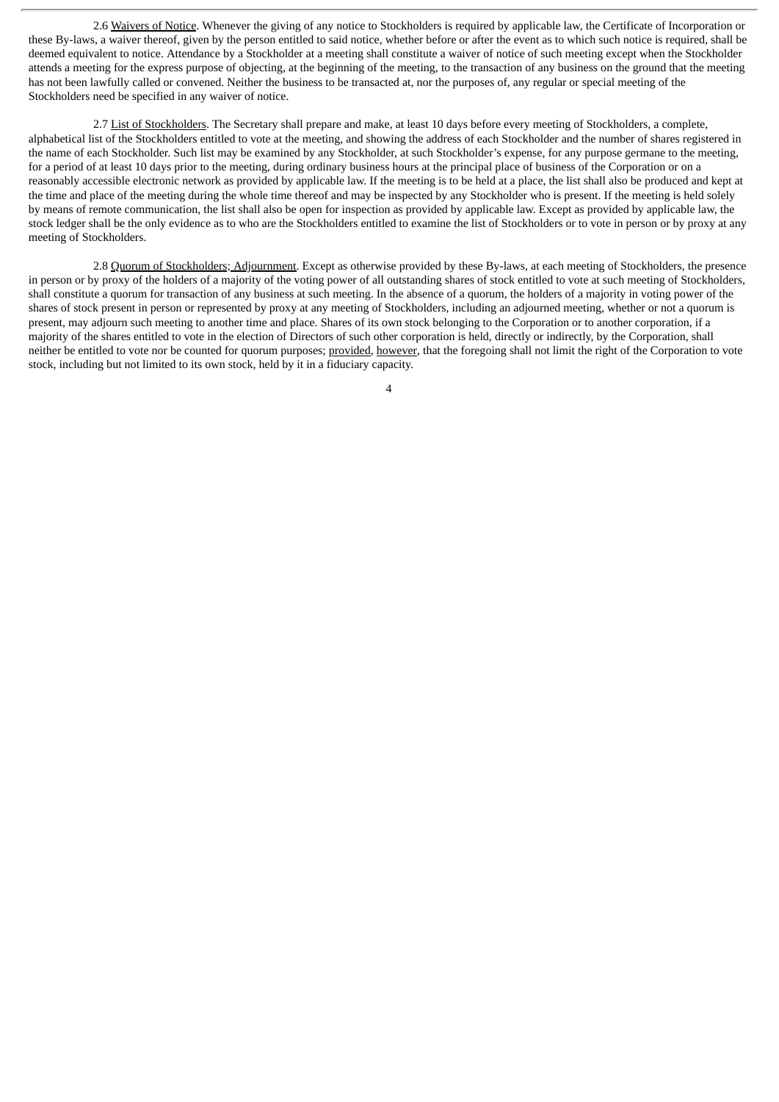2.6 Waivers of Notice. Whenever the giving of any notice to Stockholders is required by applicable law, the Certificate of Incorporation or these By-laws, a waiver thereof, given by the person entitled to said notice, whether before or after the event as to which such notice is required, shall be deemed equivalent to notice. Attendance by a Stockholder at a meeting shall constitute a waiver of notice of such meeting except when the Stockholder attends a meeting for the express purpose of objecting, at the beginning of the meeting, to the transaction of any business on the ground that the meeting has not been lawfully called or convened. Neither the business to be transacted at, nor the purposes of, any regular or special meeting of the Stockholders need be specified in any waiver of notice.

2.7 List of Stockholders. The Secretary shall prepare and make, at least 10 days before every meeting of Stockholders, a complete, alphabetical list of the Stockholders entitled to vote at the meeting, and showing the address of each Stockholder and the number of shares registered in the name of each Stockholder. Such list may be examined by any Stockholder, at such Stockholder's expense, for any purpose germane to the meeting, for a period of at least 10 days prior to the meeting, during ordinary business hours at the principal place of business of the Corporation or on a reasonably accessible electronic network as provided by applicable law. If the meeting is to be held at a place, the list shall also be produced and kept at the time and place of the meeting during the whole time thereof and may be inspected by any Stockholder who is present. If the meeting is held solely by means of remote communication, the list shall also be open for inspection as provided by applicable law. Except as provided by applicable law, the stock ledger shall be the only evidence as to who are the Stockholders entitled to examine the list of Stockholders or to vote in person or by proxy at any meeting of Stockholders.

2.8 Quorum of Stockholders; Adjournment. Except as otherwise provided by these By-laws, at each meeting of Stockholders, the presence in person or by proxy of the holders of a majority of the voting power of all outstanding shares of stock entitled to vote at such meeting of Stockholders, shall constitute a quorum for transaction of any business at such meeting. In the absence of a quorum, the holders of a majority in voting power of the shares of stock present in person or represented by proxy at any meeting of Stockholders, including an adjourned meeting, whether or not a quorum is present, may adjourn such meeting to another time and place. Shares of its own stock belonging to the Corporation or to another corporation, if a majority of the shares entitled to vote in the election of Directors of such other corporation is held, directly or indirectly, by the Corporation, shall neither be entitled to vote nor be counted for quorum purposes; provided, however, that the foregoing shall not limit the right of the Corporation to vote stock, including but not limited to its own stock, held by it in a fiduciary capacity.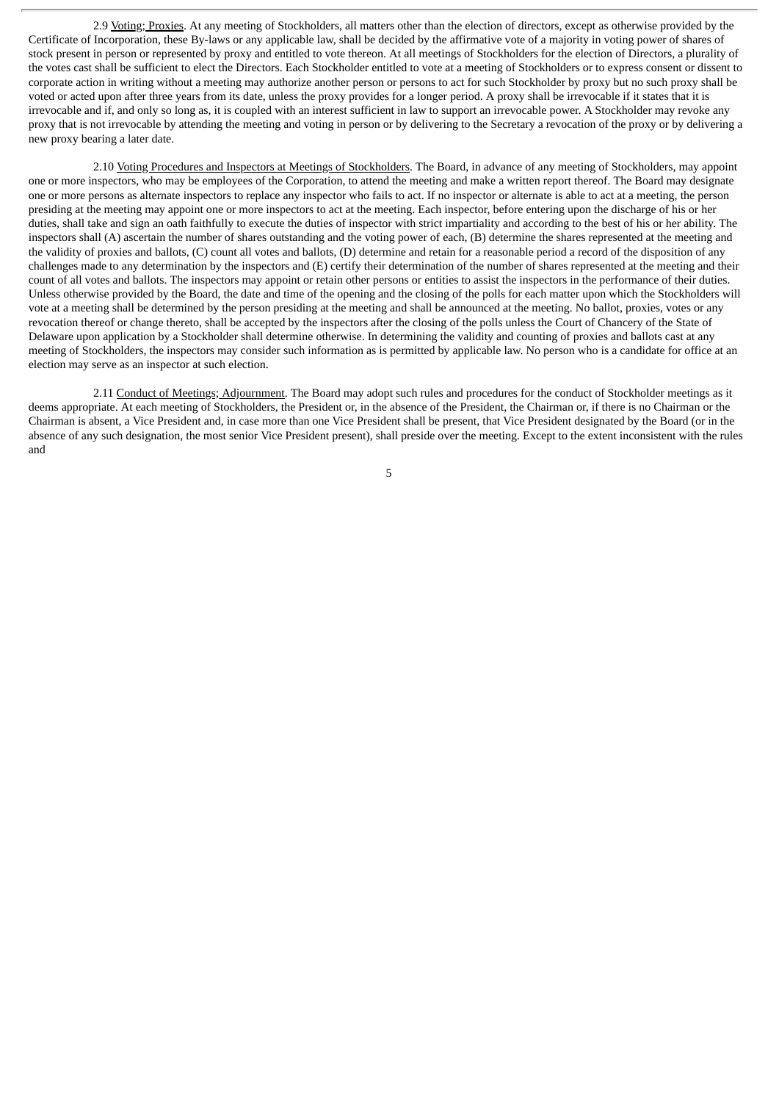2.9 Voting; Proxies. At any meeting of Stockholders, all matters other than the election of directors, except as otherwise provided by the Certificate of Incorporation, these By-laws or any applicable law, shall be decided by the affirmative vote of a majority in voting power of shares of stock present in person or represented by proxy and entitled to vote thereon. At all meetings of Stockholders for the election of Directors, a plurality of the votes cast shall be sufficient to elect the Directors. Each Stockholder entitled to vote at a meeting of Stockholders or to express consent or dissent to corporate action in writing without a meeting may authorize another person or persons to act for such Stockholder by proxy but no such proxy shall be voted or acted upon after three years from its date, unless the proxy provides for a longer period. A proxy shall be irrevocable if it states that it is irrevocable and if, and only so long as, it is coupled with an interest sufficient in law to support an irrevocable power. A Stockholder may revoke any proxy that is not irrevocable by attending the meeting and voting in person or by delivering to the Secretary a revocation of the proxy or by delivering a new proxy bearing a later date.

2.10 Voting Procedures and Inspectors at Meetings of Stockholders. The Board, in advance of any meeting of Stockholders, may appoint one or more inspectors, who may be employees of the Corporation, to attend the meeting and make a written report thereof. The Board may designate one or more persons as alternate inspectors to replace any inspector who fails to act. If no inspector or alternate is able to act at a meeting, the person presiding at the meeting may appoint one or more inspectors to act at the meeting. Each inspector, before entering upon the discharge of his or her duties, shall take and sign an oath faithfully to execute the duties of inspector with strict impartiality and according to the best of his or her ability. The inspectors shall (A) ascertain the number of shares outstanding and the voting power of each, (B) determine the shares represented at the meeting and the validity of proxies and ballots, (C) count all votes and ballots, (D) determine and retain for a reasonable period a record of the disposition of any challenges made to any determination by the inspectors and (E) certify their determination of the number of shares represented at the meeting and their count of all votes and ballots. The inspectors may appoint or retain other persons or entities to assist the inspectors in the performance of their duties. Unless otherwise provided by the Board, the date and time of the opening and the closing of the polls for each matter upon which the Stockholders will vote at a meeting shall be determined by the person presiding at the meeting and shall be announced at the meeting. No ballot, proxies, votes or any revocation thereof or change thereto, shall be accepted by the inspectors after the closing of the polls unless the Court of Chancery of the State of Delaware upon application by a Stockholder shall determine otherwise. In determining the validity and counting of proxies and ballots cast at any meeting of Stockholders, the inspectors may consider such information as is permitted by applicable law. No person who is a candidate for office at an election may serve as an inspector at such election.

2.11 Conduct of Meetings; Adjournment. The Board may adopt such rules and procedures for the conduct of Stockholder meetings as it deems appropriate. At each meeting of Stockholders, the President or, in the absence of the President, the Chairman or, if there is no Chairman or the Chairman is absent, a Vice President and, in case more than one Vice President shall be present, that Vice President designated by the Board (or in the absence of any such designation, the most senior Vice President present), shall preside over the meeting. Except to the extent inconsistent with the rules and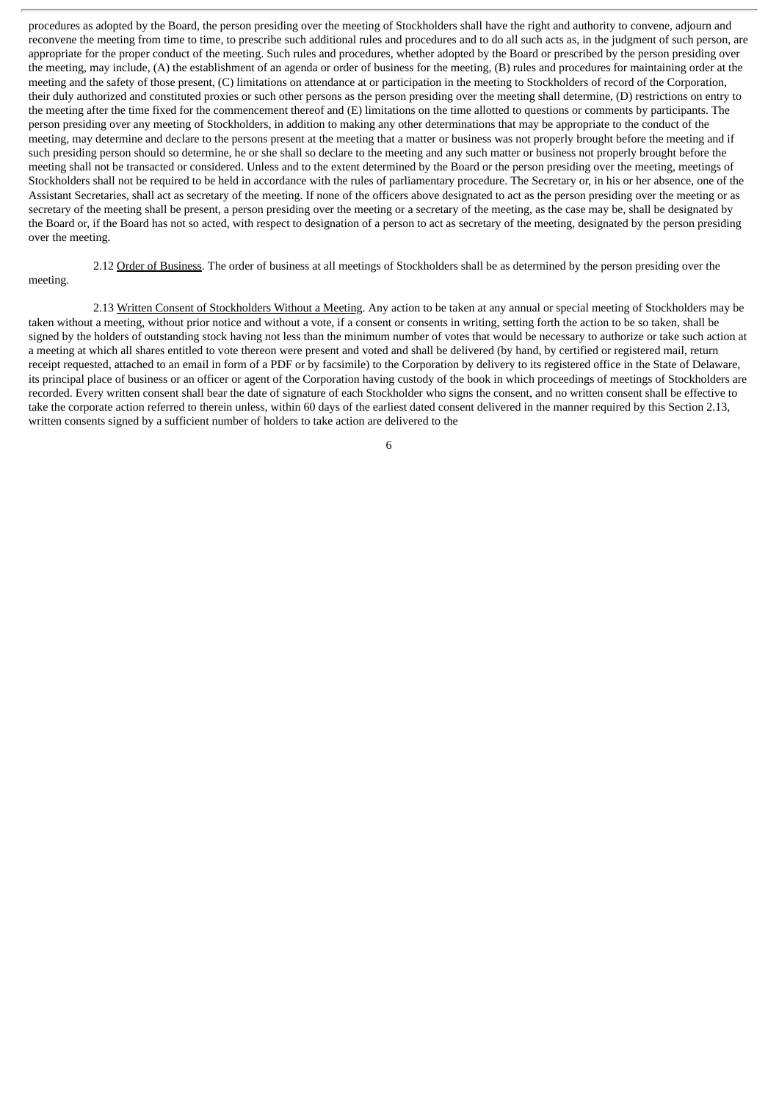procedures as adopted by the Board, the person presiding over the meeting of Stockholders shall have the right and authority to convene, adjourn and reconvene the meeting from time to time, to prescribe such additional rules and procedures and to do all such acts as, in the judgment of such person, are appropriate for the proper conduct of the meeting. Such rules and procedures, whether adopted by the Board or prescribed by the person presiding over the meeting, may include, (A) the establishment of an agenda or order of business for the meeting, (B) rules and procedures for maintaining order at the meeting and the safety of those present, (C) limitations on attendance at or participation in the meeting to Stockholders of record of the Corporation, their duly authorized and constituted proxies or such other persons as the person presiding over the meeting shall determine, (D) restrictions on entry to the meeting after the time fixed for the commencement thereof and (E) limitations on the time allotted to questions or comments by participants. The person presiding over any meeting of Stockholders, in addition to making any other determinations that may be appropriate to the conduct of the meeting, may determine and declare to the persons present at the meeting that a matter or business was not properly brought before the meeting and if such presiding person should so determine, he or she shall so declare to the meeting and any such matter or business not properly brought before the meeting shall not be transacted or considered. Unless and to the extent determined by the Board or the person presiding over the meeting, meetings of Stockholders shall not be required to be held in accordance with the rules of parliamentary procedure. The Secretary or, in his or her absence, one of the Assistant Secretaries, shall act as secretary of the meeting. If none of the officers above designated to act as the person presiding over the meeting or as secretary of the meeting shall be present, a person presiding over the meeting or a secretary of the meeting, as the case may be, shall be designated by the Board or, if the Board has not so acted, with respect to designation of a person to act as secretary of the meeting, designated by the person presiding over the meeting.

2.12 Order of Business. The order of business at all meetings of Stockholders shall be as determined by the person presiding over the

# meeting.

2.13 Written Consent of Stockholders Without a Meeting. Any action to be taken at any annual or special meeting of Stockholders may be taken without a meeting, without prior notice and without a vote, if a consent or consents in writing, setting forth the action to be so taken, shall be signed by the holders of outstanding stock having not less than the minimum number of votes that would be necessary to authorize or take such action at a meeting at which all shares entitled to vote thereon were present and voted and shall be delivered (by hand, by certified or registered mail, return receipt requested, attached to an email in form of a PDF or by facsimile) to the Corporation by delivery to its registered office in the State of Delaware, its principal place of business or an officer or agent of the Corporation having custody of the book in which proceedings of meetings of Stockholders are recorded. Every written consent shall bear the date of signature of each Stockholder who signs the consent, and no written consent shall be effective to take the corporate action referred to therein unless, within 60 days of the earliest dated consent delivered in the manner required by this Section 2.13, written consents signed by a sufficient number of holders to take action are delivered to the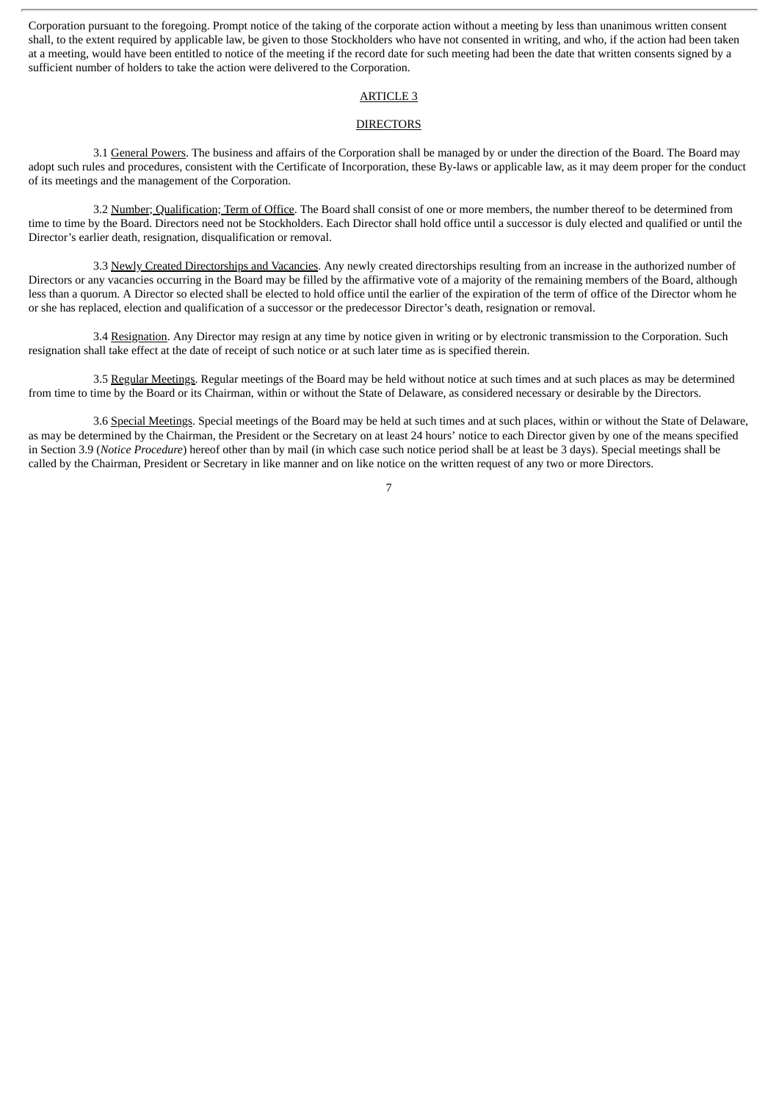Corporation pursuant to the foregoing. Prompt notice of the taking of the corporate action without a meeting by less than unanimous written consent shall, to the extent required by applicable law, be given to those Stockholders who have not consented in writing, and who, if the action had been taken at a meeting, would have been entitled to notice of the meeting if the record date for such meeting had been the date that written consents signed by a sufficient number of holders to take the action were delivered to the Corporation.

# ARTICLE 3

#### **DIRECTORS**

3.1 General Powers. The business and affairs of the Corporation shall be managed by or under the direction of the Board. The Board may adopt such rules and procedures, consistent with the Certificate of Incorporation, these By-laws or applicable law, as it may deem proper for the conduct of its meetings and the management of the Corporation.

3.2 Number; Qualification; Term of Office. The Board shall consist of one or more members, the number thereof to be determined from time to time by the Board. Directors need not be Stockholders. Each Director shall hold office until a successor is duly elected and qualified or until the Director's earlier death, resignation, disqualification or removal.

3.3 Newly Created Directorships and Vacancies. Any newly created directorships resulting from an increase in the authorized number of Directors or any vacancies occurring in the Board may be filled by the affirmative vote of a majority of the remaining members of the Board, although less than a quorum. A Director so elected shall be elected to hold office until the earlier of the expiration of the term of office of the Director whom he or she has replaced, election and qualification of a successor or the predecessor Director's death, resignation or removal.

3.4 Resignation. Any Director may resign at any time by notice given in writing or by electronic transmission to the Corporation. Such resignation shall take effect at the date of receipt of such notice or at such later time as is specified therein.

3.5 Regular Meetings. Regular meetings of the Board may be held without notice at such times and at such places as may be determined from time to time by the Board or its Chairman, within or without the State of Delaware, as considered necessary or desirable by the Directors.

3.6 Special Meetings. Special meetings of the Board may be held at such times and at such places, within or without the State of Delaware, as may be determined by the Chairman, the President or the Secretary on at least 24 hours' notice to each Director given by one of the means specified in Section 3.9 (*Notice Procedure*) hereof other than by mail (in which case such notice period shall be at least be 3 days). Special meetings shall be called by the Chairman, President or Secretary in like manner and on like notice on the written request of any two or more Directors.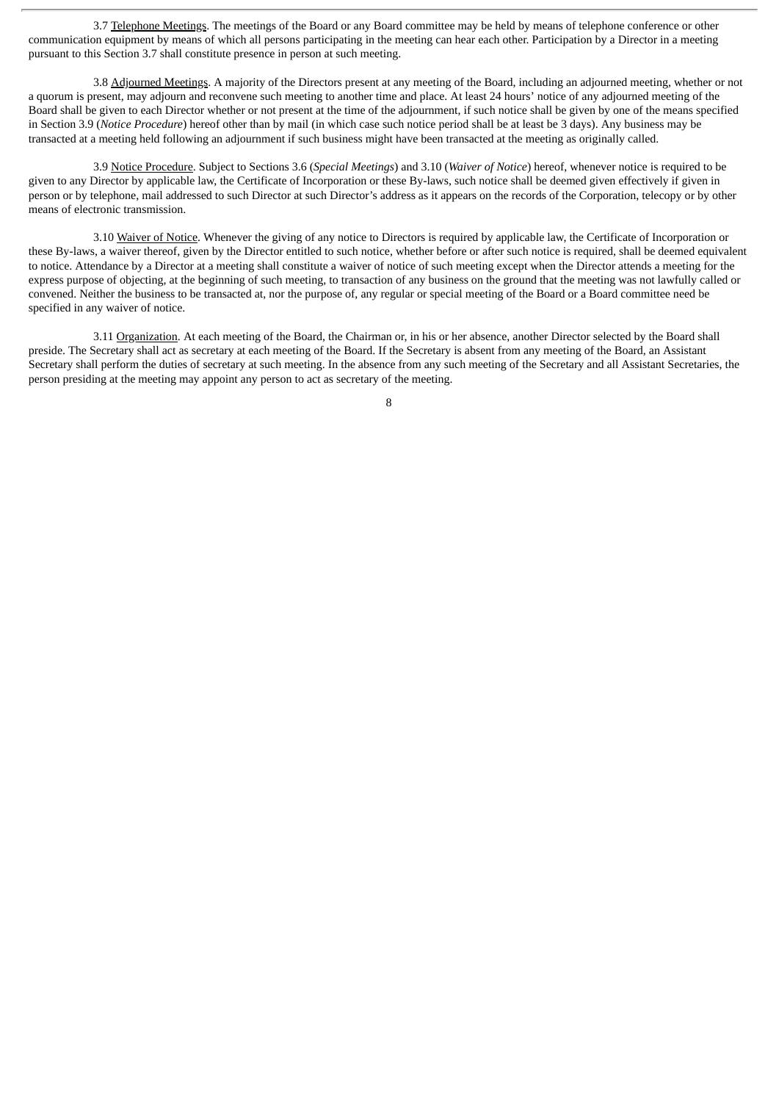3.7 Telephone Meetings. The meetings of the Board or any Board committee may be held by means of telephone conference or other communication equipment by means of which all persons participating in the meeting can hear each other. Participation by a Director in a meeting pursuant to this Section 3.7 shall constitute presence in person at such meeting.

3.8 Adjourned Meetings. A majority of the Directors present at any meeting of the Board, including an adjourned meeting, whether or not a quorum is present, may adjourn and reconvene such meeting to another time and place. At least 24 hours' notice of any adjourned meeting of the Board shall be given to each Director whether or not present at the time of the adjournment, if such notice shall be given by one of the means specified in Section 3.9 (*Notice Procedure*) hereof other than by mail (in which case such notice period shall be at least be 3 days). Any business may be transacted at a meeting held following an adjournment if such business might have been transacted at the meeting as originally called.

3.9 Notice Procedure. Subject to Sections 3.6 (*Special Meetings*) and 3.10 (*Waiver of Notice*) hereof, whenever notice is required to be given to any Director by applicable law, the Certificate of Incorporation or these By-laws, such notice shall be deemed given effectively if given in person or by telephone, mail addressed to such Director at such Director's address as it appears on the records of the Corporation, telecopy or by other means of electronic transmission.

3.10 Waiver of Notice. Whenever the giving of any notice to Directors is required by applicable law, the Certificate of Incorporation or these By-laws, a waiver thereof, given by the Director entitled to such notice, whether before or after such notice is required, shall be deemed equivalent to notice. Attendance by a Director at a meeting shall constitute a waiver of notice of such meeting except when the Director attends a meeting for the express purpose of objecting, at the beginning of such meeting, to transaction of any business on the ground that the meeting was not lawfully called or convened. Neither the business to be transacted at, nor the purpose of, any regular or special meeting of the Board or a Board committee need be specified in any waiver of notice.

3.11 Organization. At each meeting of the Board, the Chairman or, in his or her absence, another Director selected by the Board shall preside. The Secretary shall act as secretary at each meeting of the Board. If the Secretary is absent from any meeting of the Board, an Assistant Secretary shall perform the duties of secretary at such meeting. In the absence from any such meeting of the Secretary and all Assistant Secretaries, the person presiding at the meeting may appoint any person to act as secretary of the meeting.

 $\mathbf{Q}$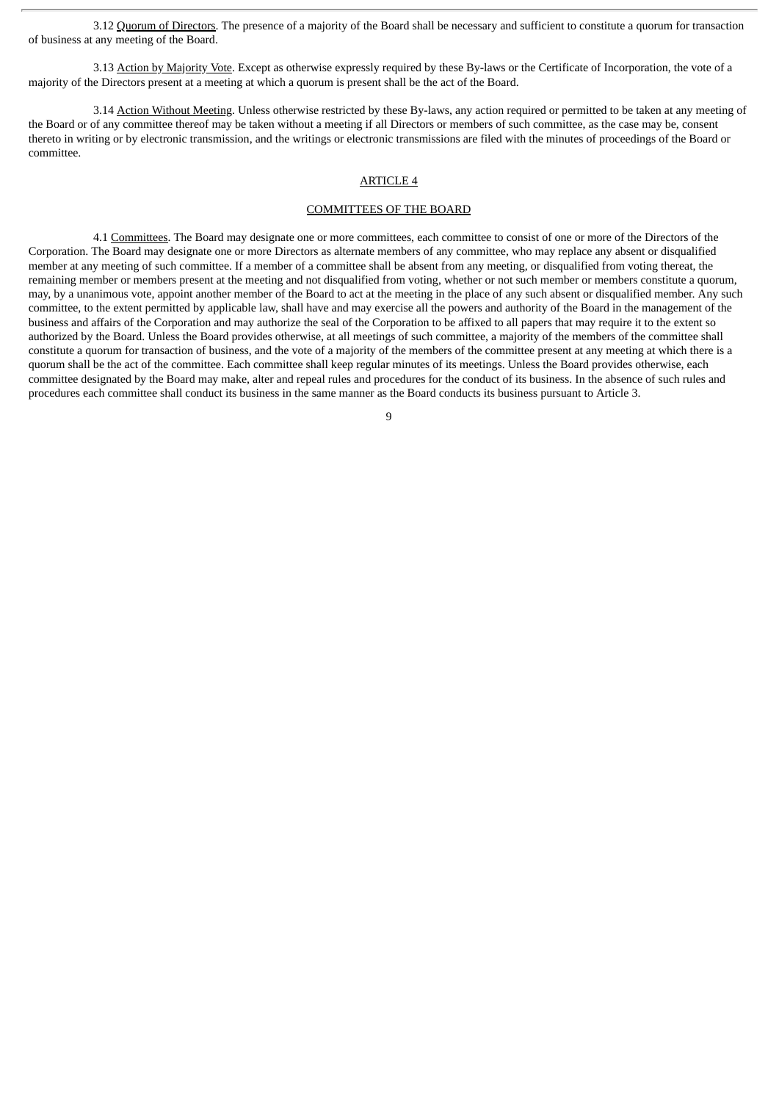3.12 Quorum of Directors. The presence of a majority of the Board shall be necessary and sufficient to constitute a quorum for transaction of business at any meeting of the Board.

3.13 Action by Majority Vote. Except as otherwise expressly required by these By-laws or the Certificate of Incorporation, the vote of a majority of the Directors present at a meeting at which a quorum is present shall be the act of the Board.

3.14 Action Without Meeting. Unless otherwise restricted by these By-laws, any action required or permitted to be taken at any meeting of the Board or of any committee thereof may be taken without a meeting if all Directors or members of such committee, as the case may be, consent thereto in writing or by electronic transmission, and the writings or electronic transmissions are filed with the minutes of proceedings of the Board or committee.

# ARTICLE 4

# COMMITTEES OF THE BOARD

4.1 Committees. The Board may designate one or more committees, each committee to consist of one or more of the Directors of the Corporation. The Board may designate one or more Directors as alternate members of any committee, who may replace any absent or disqualified member at any meeting of such committee. If a member of a committee shall be absent from any meeting, or disqualified from voting thereat, the remaining member or members present at the meeting and not disqualified from voting, whether or not such member or members constitute a quorum, may, by a unanimous vote, appoint another member of the Board to act at the meeting in the place of any such absent or disqualified member. Any such committee, to the extent permitted by applicable law, shall have and may exercise all the powers and authority of the Board in the management of the business and affairs of the Corporation and may authorize the seal of the Corporation to be affixed to all papers that may require it to the extent so authorized by the Board. Unless the Board provides otherwise, at all meetings of such committee, a majority of the members of the committee shall constitute a quorum for transaction of business, and the vote of a majority of the members of the committee present at any meeting at which there is a quorum shall be the act of the committee. Each committee shall keep regular minutes of its meetings. Unless the Board provides otherwise, each committee designated by the Board may make, alter and repeal rules and procedures for the conduct of its business. In the absence of such rules and procedures each committee shall conduct its business in the same manner as the Board conducts its business pursuant to Article 3.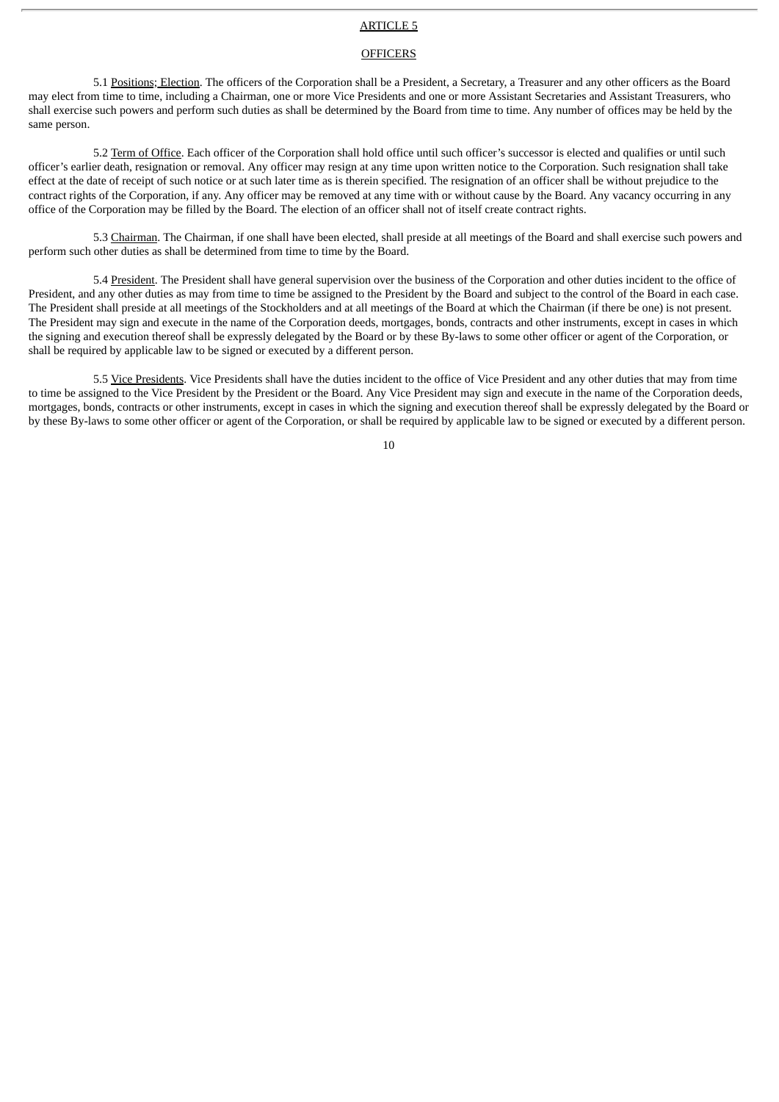# ARTICLE 5

# **OFFICERS**

5.1 Positions; Election. The officers of the Corporation shall be a President, a Secretary, a Treasurer and any other officers as the Board may elect from time to time, including a Chairman, one or more Vice Presidents and one or more Assistant Secretaries and Assistant Treasurers, who shall exercise such powers and perform such duties as shall be determined by the Board from time to time. Any number of offices may be held by the same person.

5.2 Term of Office. Each officer of the Corporation shall hold office until such officer's successor is elected and qualifies or until such officer's earlier death, resignation or removal. Any officer may resign at any time upon written notice to the Corporation. Such resignation shall take effect at the date of receipt of such notice or at such later time as is therein specified. The resignation of an officer shall be without prejudice to the contract rights of the Corporation, if any. Any officer may be removed at any time with or without cause by the Board. Any vacancy occurring in any office of the Corporation may be filled by the Board. The election of an officer shall not of itself create contract rights.

5.3 Chairman. The Chairman, if one shall have been elected, shall preside at all meetings of the Board and shall exercise such powers and perform such other duties as shall be determined from time to time by the Board.

5.4 President. The President shall have general supervision over the business of the Corporation and other duties incident to the office of President, and any other duties as may from time to time be assigned to the President by the Board and subject to the control of the Board in each case. The President shall preside at all meetings of the Stockholders and at all meetings of the Board at which the Chairman (if there be one) is not present. The President may sign and execute in the name of the Corporation deeds, mortgages, bonds, contracts and other instruments, except in cases in which the signing and execution thereof shall be expressly delegated by the Board or by these By-laws to some other officer or agent of the Corporation, or shall be required by applicable law to be signed or executed by a different person.

5.5 Vice Presidents. Vice Presidents shall have the duties incident to the office of Vice President and any other duties that may from time to time be assigned to the Vice President by the President or the Board. Any Vice President may sign and execute in the name of the Corporation deeds, mortgages, bonds, contracts or other instruments, except in cases in which the signing and execution thereof shall be expressly delegated by the Board or by these By-laws to some other officer or agent of the Corporation, or shall be required by applicable law to be signed or executed by a different person.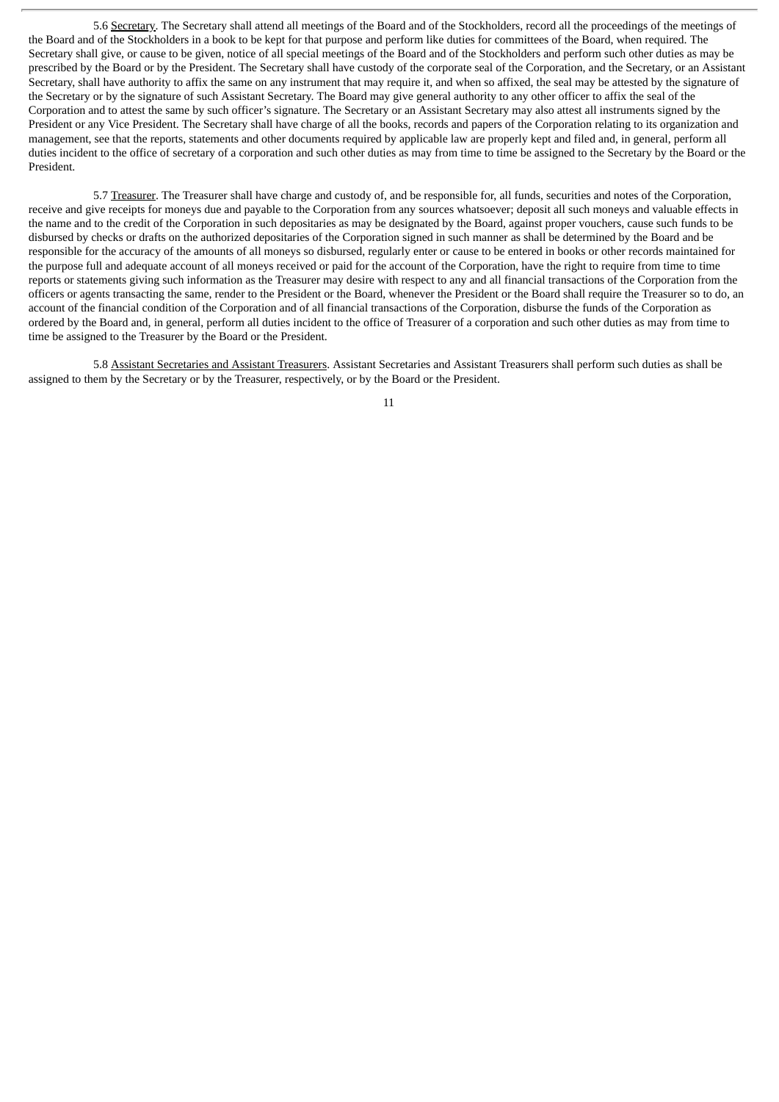5.6 Secretary. The Secretary shall attend all meetings of the Board and of the Stockholders, record all the proceedings of the meetings of the Board and of the Stockholders in a book to be kept for that purpose and perform like duties for committees of the Board, when required. The Secretary shall give, or cause to be given, notice of all special meetings of the Board and of the Stockholders and perform such other duties as may be prescribed by the Board or by the President. The Secretary shall have custody of the corporate seal of the Corporation, and the Secretary, or an Assistant Secretary, shall have authority to affix the same on any instrument that may require it, and when so affixed, the seal may be attested by the signature of the Secretary or by the signature of such Assistant Secretary. The Board may give general authority to any other officer to affix the seal of the Corporation and to attest the same by such officer's signature. The Secretary or an Assistant Secretary may also attest all instruments signed by the President or any Vice President. The Secretary shall have charge of all the books, records and papers of the Corporation relating to its organization and management, see that the reports, statements and other documents required by applicable law are properly kept and filed and, in general, perform all duties incident to the office of secretary of a corporation and such other duties as may from time to time be assigned to the Secretary by the Board or the President.

5.7 Treasurer. The Treasurer shall have charge and custody of, and be responsible for, all funds, securities and notes of the Corporation, receive and give receipts for moneys due and payable to the Corporation from any sources whatsoever; deposit all such moneys and valuable effects in the name and to the credit of the Corporation in such depositaries as may be designated by the Board, against proper vouchers, cause such funds to be disbursed by checks or drafts on the authorized depositaries of the Corporation signed in such manner as shall be determined by the Board and be responsible for the accuracy of the amounts of all moneys so disbursed, regularly enter or cause to be entered in books or other records maintained for the purpose full and adequate account of all moneys received or paid for the account of the Corporation, have the right to require from time to time reports or statements giving such information as the Treasurer may desire with respect to any and all financial transactions of the Corporation from the officers or agents transacting the same, render to the President or the Board, whenever the President or the Board shall require the Treasurer so to do, an account of the financial condition of the Corporation and of all financial transactions of the Corporation, disburse the funds of the Corporation as ordered by the Board and, in general, perform all duties incident to the office of Treasurer of a corporation and such other duties as may from time to time be assigned to the Treasurer by the Board or the President.

5.8 Assistant Secretaries and Assistant Treasurers. Assistant Secretaries and Assistant Treasurers shall perform such duties as shall be assigned to them by the Secretary or by the Treasurer, respectively, or by the Board or the President.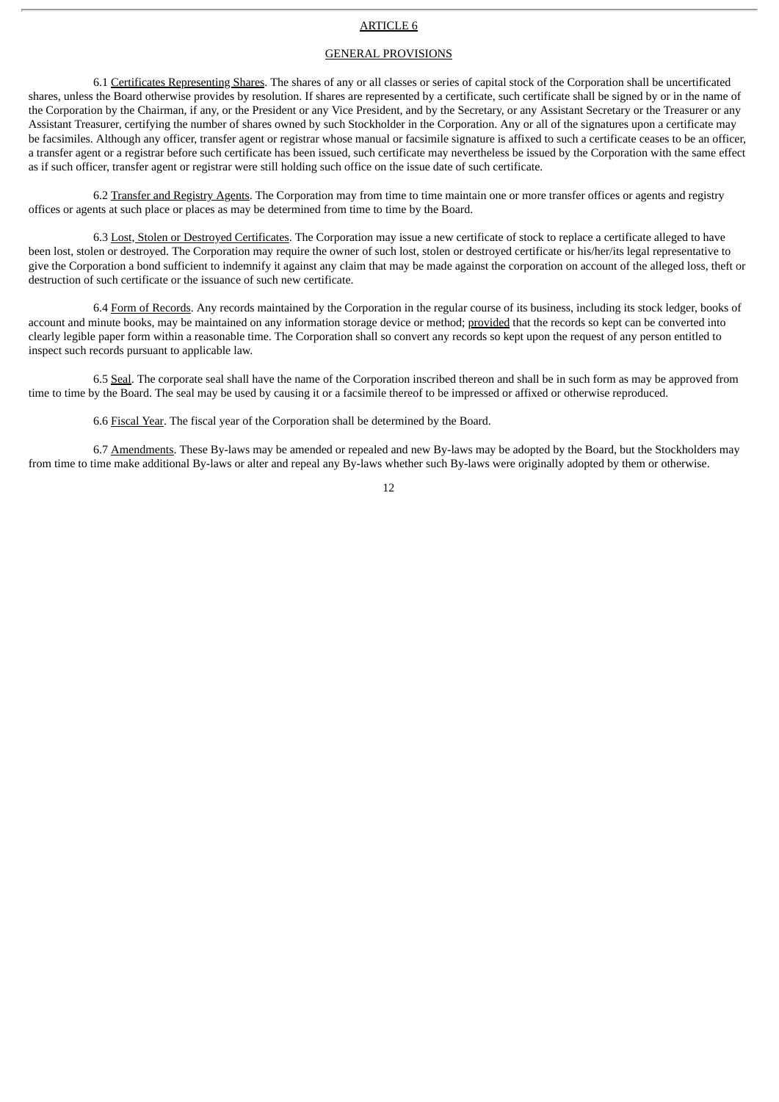# ARTICLE 6

# GENERAL PROVISIONS

6.1 Certificates Representing Shares. The shares of any or all classes or series of capital stock of the Corporation shall be uncertificated shares, unless the Board otherwise provides by resolution. If shares are represented by a certificate, such certificate shall be signed by or in the name of the Corporation by the Chairman, if any, or the President or any Vice President, and by the Secretary, or any Assistant Secretary or the Treasurer or any Assistant Treasurer, certifying the number of shares owned by such Stockholder in the Corporation. Any or all of the signatures upon a certificate may be facsimiles. Although any officer, transfer agent or registrar whose manual or facsimile signature is affixed to such a certificate ceases to be an officer, a transfer agent or a registrar before such certificate has been issued, such certificate may nevertheless be issued by the Corporation with the same effect as if such officer, transfer agent or registrar were still holding such office on the issue date of such certificate.

6.2 Transfer and Registry Agents. The Corporation may from time to time maintain one or more transfer offices or agents and registry offices or agents at such place or places as may be determined from time to time by the Board.

6.3 Lost, Stolen or Destroyed Certificates. The Corporation may issue a new certificate of stock to replace a certificate alleged to have been lost, stolen or destroyed. The Corporation may require the owner of such lost, stolen or destroyed certificate or his/her/its legal representative to give the Corporation a bond sufficient to indemnify it against any claim that may be made against the corporation on account of the alleged loss, theft or destruction of such certificate or the issuance of such new certificate.

6.4 Form of Records. Any records maintained by the Corporation in the regular course of its business, including its stock ledger, books of account and minute books, may be maintained on any information storage device or method; provided that the records so kept can be converted into clearly legible paper form within a reasonable time. The Corporation shall so convert any records so kept upon the request of any person entitled to inspect such records pursuant to applicable law.

6.5 Seal. The corporate seal shall have the name of the Corporation inscribed thereon and shall be in such form as may be approved from time to time by the Board. The seal may be used by causing it or a facsimile thereof to be impressed or affixed or otherwise reproduced.

6.6 Fiscal Year. The fiscal year of the Corporation shall be determined by the Board.

6.7 Amendments. These By-laws may be amended or repealed and new By-laws may be adopted by the Board, but the Stockholders may from time to time make additional By-laws or alter and repeal any By-laws whether such By-laws were originally adopted by them or otherwise.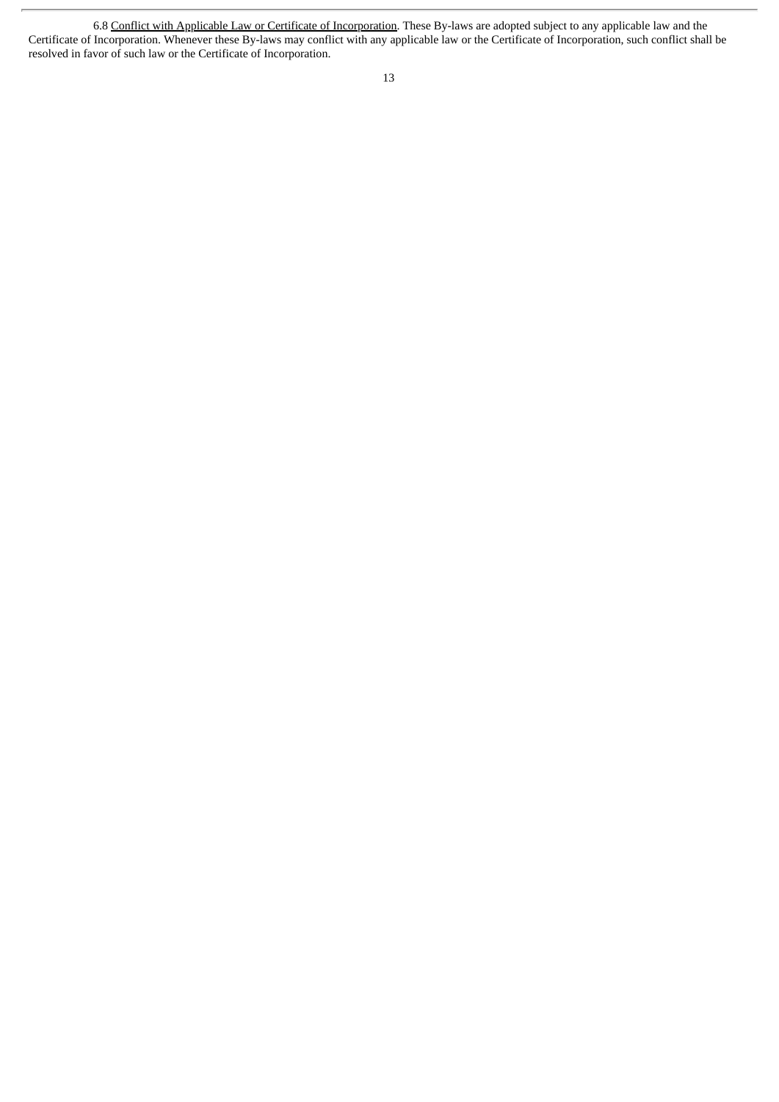<sup>6.8</sup> Conflict with Applicable Law or Certificate of Incorporation</u>. These By-laws are adopted subject to any applicable law and the Certificate of Incorporation. Whenever these By-laws may conflict with any applicable law or the Certificate of Incorporation, such conflict shall be resolved in favor of such law or the Certificate of Incorporation.